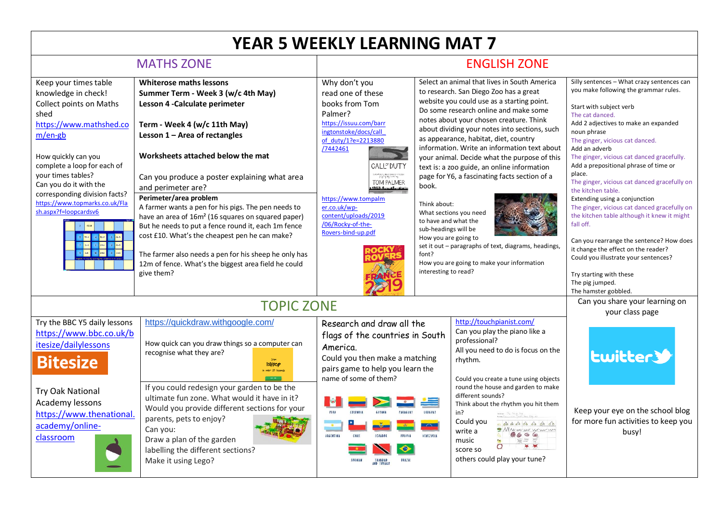## **YEAR 5 WEEKLY LEARNING MAT 7**

| <b>MATHS ZONE</b>                                                                                                                                                                                                                                                                                                                                               |                                                                                                                                                                                                                                                                                                                                                                                                                                                                                                                                                                                                                                                                                | <b>ENGLISH ZONE</b>                                                                                                                                                                                                                                                                                                                  |                                                                                                                                |                                                                                                                                                                                                                                                                                                                                                                                                                                                                                                                                                                                                                                                    |                                                                                                                                                                                                                                                                                                                                                                                                                                                                                                                                                                                                                                                                                                                                           |
|-----------------------------------------------------------------------------------------------------------------------------------------------------------------------------------------------------------------------------------------------------------------------------------------------------------------------------------------------------------------|--------------------------------------------------------------------------------------------------------------------------------------------------------------------------------------------------------------------------------------------------------------------------------------------------------------------------------------------------------------------------------------------------------------------------------------------------------------------------------------------------------------------------------------------------------------------------------------------------------------------------------------------------------------------------------|--------------------------------------------------------------------------------------------------------------------------------------------------------------------------------------------------------------------------------------------------------------------------------------------------------------------------------------|--------------------------------------------------------------------------------------------------------------------------------|----------------------------------------------------------------------------------------------------------------------------------------------------------------------------------------------------------------------------------------------------------------------------------------------------------------------------------------------------------------------------------------------------------------------------------------------------------------------------------------------------------------------------------------------------------------------------------------------------------------------------------------------------|-------------------------------------------------------------------------------------------------------------------------------------------------------------------------------------------------------------------------------------------------------------------------------------------------------------------------------------------------------------------------------------------------------------------------------------------------------------------------------------------------------------------------------------------------------------------------------------------------------------------------------------------------------------------------------------------------------------------------------------------|
| Keep your times table<br>knowledge in check!<br><b>Collect points on Maths</b><br>shed<br>https://www.mathshed.co<br>$m/en-gb$<br>How quickly can you<br>complete a loop for each of<br>your times tables?<br>Can you do it with the<br>corresponding division facts?<br>https://www.topmarks.co.uk/Fla<br>sh.aspx?f=loopcardsv6<br>6-8 10 54-6<br>$8 \t32 - 6$ | <b>Whiterose maths lessons</b><br>Summer Term - Week 3 (w/c 4th May)<br>Lesson 4 - Calculate perimeter<br>Term - Week 4 (w/c 11th May)<br>Lesson 1 - Area of rectangles<br>Worksheets attached below the mat<br>Can you produce a poster explaining what area<br>and perimeter are?<br>Perimeter/area problem<br>A farmer wants a pen for his pigs. The pen needs to<br>have an area of 16m <sup>2</sup> (16 squares on squared paper)<br>But he needs to put a fence round it, each 1m fence<br>cost £10. What's the cheapest pen he can make?<br>The farmer also needs a pen for his sheep he only has<br>12m of fence. What's the biggest area field he could<br>give them? | Why don't you<br>read one of these<br>books from Tom<br>Palmer?<br>https://issuu.com/barr<br>ingtonstoke/docs/call<br>of duty/1?e=2213880<br>/7442461<br><b>CALL<sup>or</sup> DUTY</b><br>TOM PALMER<br>Alais Ann also Ann<br>https://www.tompalm<br>er.co.uk/wp-<br>content/uploads/2019<br>/06/Rocky-of-the-<br>Rovers-bind-up.pdf | book.<br>Think about:<br>to have and what the<br>sub-headings will be<br>How you are going to<br>font?<br>interesting to read? | Select an animal that lives in South America<br>to research. San Diego Zoo has a great<br>website you could use as a starting point.<br>Do some research online and make some<br>notes about your chosen creature. Think<br>about dividing your notes into sections, such<br>as appearance, habitat, diet, country<br>information. Write an information text about<br>your animal. Decide what the purpose of this<br>text is: a zoo guide, an online information<br>page for Y6, a fascinating facts section of a<br>What sections you need<br>set it out - paragraphs of text, diagrams, headings,<br>How you are going to make your information | Silly sentences - What crazy sentences can<br>you make following the grammar rules.<br>Start with subject verb<br>The cat danced.<br>Add 2 adjectives to make an expanded<br>noun phrase<br>The ginger, vicious cat danced.<br>Add an adverb<br>The ginger, vicious cat danced gracefully.<br>Add a prepositional phrase of time or<br>place.<br>The ginger, vicious cat danced gracefully on<br>the kitchen table.<br>Extending using a conjunction<br>The ginger, vicious cat danced gracefully on<br>the kitchen table although it knew it might<br>fall off.<br>Can you rearrange the sentence? How does<br>it change the effect on the reader?<br>Could you illustrate your sentences?<br>Try starting with these<br>The pig jumped. |
| <b>TOPIC ZONE</b>                                                                                                                                                                                                                                                                                                                                               |                                                                                                                                                                                                                                                                                                                                                                                                                                                                                                                                                                                                                                                                                |                                                                                                                                                                                                                                                                                                                                      |                                                                                                                                |                                                                                                                                                                                                                                                                                                                                                                                                                                                                                                                                                                                                                                                    | The hamster gobbled.<br>Can you share your learning on<br>your class page                                                                                                                                                                                                                                                                                                                                                                                                                                                                                                                                                                                                                                                                 |
| Try the BBC Y5 daily lessons<br>https://www.bbc.co.uk/b<br>itesize/dailylessons<br><b>Bitesize</b><br><b>Try Oak National</b><br>Academy lessons<br>https://www.thenational.<br>academy/online-<br>classroom                                                                                                                                                    | https://quickdraw.withgoogle.com/<br>How quick can you draw things so a computer can<br>recognise what they are?<br>lollipop<br>under 20 second<br>If you could redesign your garden to be the<br>ultimate fun zone. What would it have in it?<br>Would you provide different sections for your<br>parents, pets to enjoy?<br>Can you:<br>Draw a plan of the garden<br>labelling the different sections?<br>Make it using Lego?                                                                                                                                                                                                                                                | Research and draw all the<br>flags of the countries in South<br>America.<br>Could you then make a matching<br>pairs game to help you learn the<br>name of some of them?<br>PERU<br><b>COLOMBIA</b><br><b>GUYANA</b><br><b>PARAGUAY</b><br><b>ARGENTINA</b><br><b>ICUADOR</b><br><b>BOLIVIA</b><br>CHILE<br><b>RRAZIL</b>             | <b>URUGUAY</b><br>VENEZUELA                                                                                                    | http://touchpianist.com/<br>Can you play the piano like a<br>professional?<br>All you need to do is focus on the<br>rhythm.<br>Could you create a tune using objects<br>round the house and garden to make<br>different sounds?<br>Think about the rhythm you hit them<br>in?<br>Could you<br>60 0 00 00 60 60 60<br>MARTHUM<br>write a<br>music<br>score so<br>others could play your tune?                                                                                                                                                                                                                                                       | <b>Lwitters</b><br>Keep your eye on the school blog<br>for more fun activities to keep you<br>busy!                                                                                                                                                                                                                                                                                                                                                                                                                                                                                                                                                                                                                                       |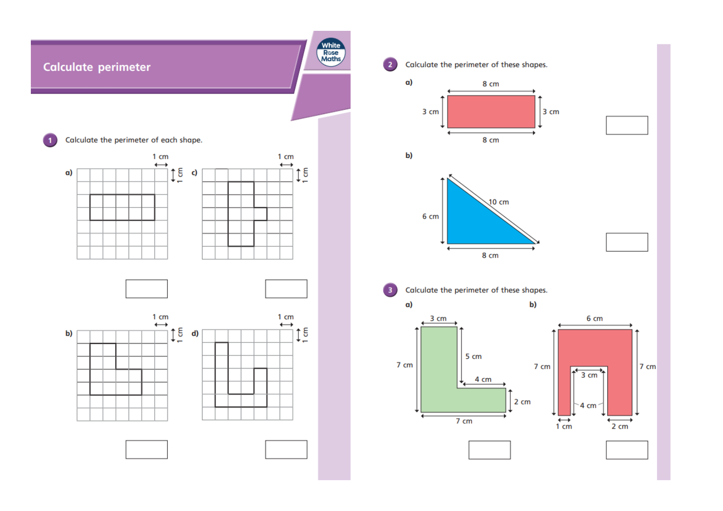

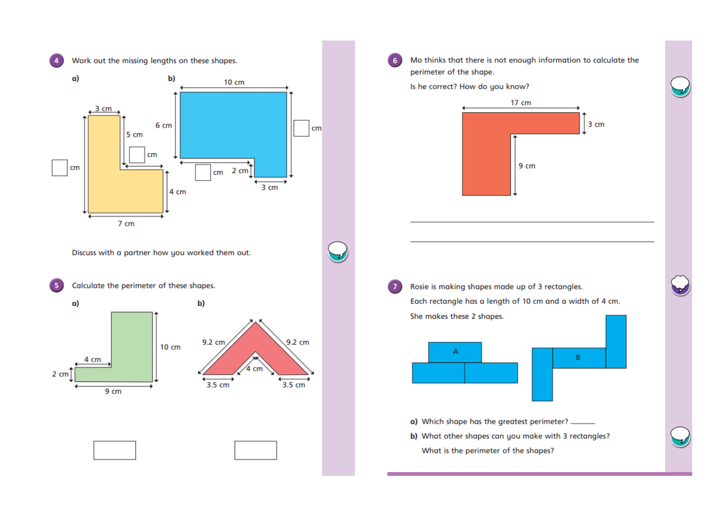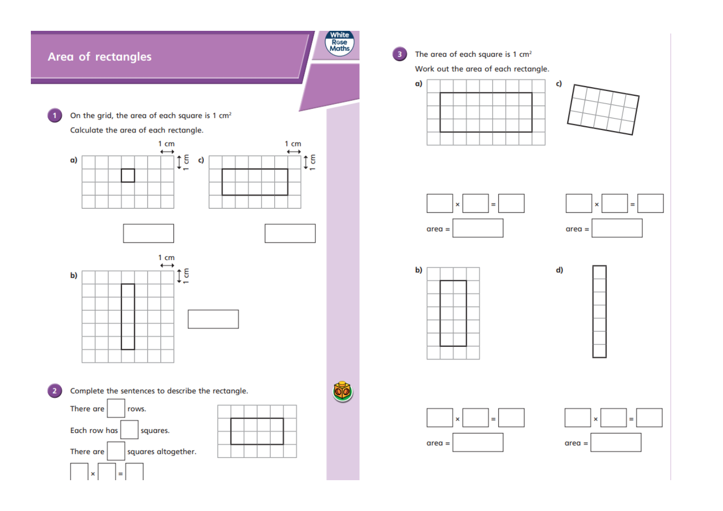

## The area of each square is 1 cm<sup>2</sup>

Work out the area of each rectangle.

















 $\bullet$